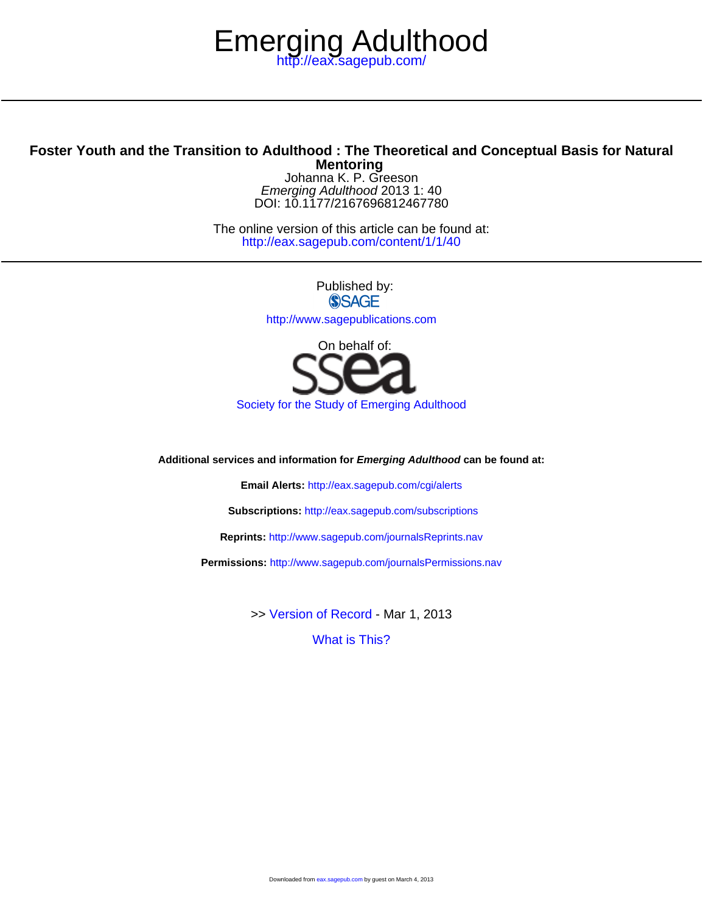# <http://eax.sagepub.com/> Emerging Adulthood

# **Mentoring Foster Youth and the Transition to Adulthood : The Theoretical and Conceptual Basis for Natural**

DOI: 10.1177/2167696812467780 Emerging Adulthood 2013 1: 40 Johanna K. P. Greeson

<http://eax.sagepub.com/content/1/1/40> The online version of this article can be found at:

> Published by: **SSAGE** <http://www.sagepublications.com>



**Additional services and information for Emerging Adulthood can be found at:**

**Email Alerts:** <http://eax.sagepub.com/cgi/alerts>

**Subscriptions:** <http://eax.sagepub.com/subscriptions>

**Reprints:** <http://www.sagepub.com/journalsReprints.nav>

**Permissions:** <http://www.sagepub.com/journalsPermissions.nav>

>> [Version of Record -](http://eax.sagepub.com/content/1/1/40.full.pdf) Mar 1, 2013

[What is This?](http://online.sagepub.com/site/sphelp/vorhelp.xhtml)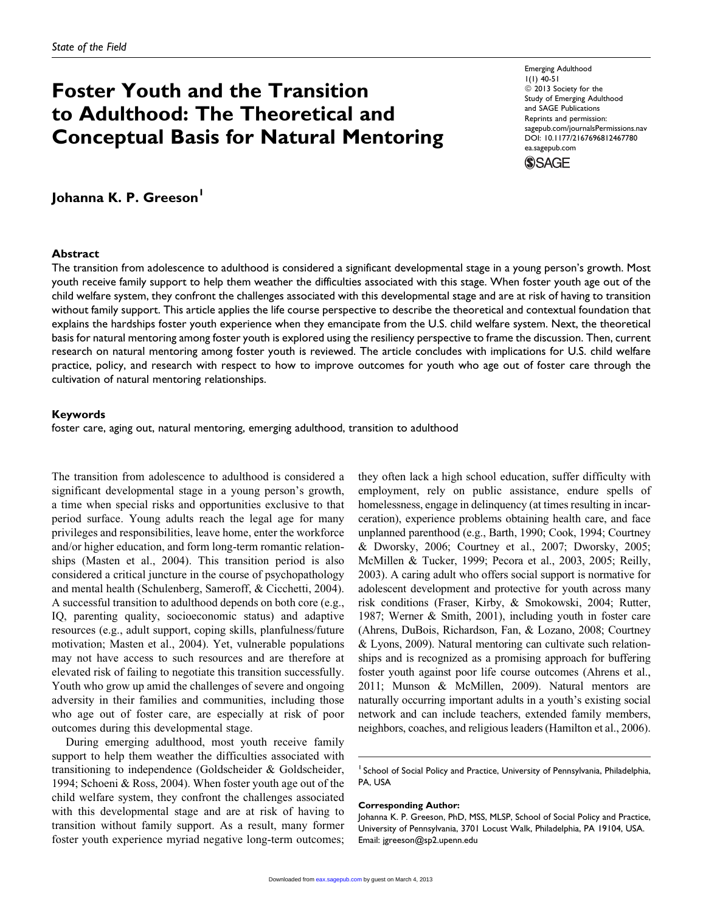# Foster Youth and the Transition to Adulthood: The Theoretical and Conceptual Basis for Natural Mentoring

Emerging Adulthood 1(1) 40-51  $\odot$  2013 Society for the Study of Emerging Adulthood and SAGE Publications Reprints and permission: [sagepub.com/journalsPermissions.nav](http://www.sagepub.com/journalsPermissions.nav) DOI: 10.1177/2167696812467780 [ea.sagepub.com](http://ea.sagepub.com)



Johanna K. P. Greeson'

### **Abstract**

The transition from adolescence to adulthood is considered a significant developmental stage in a young person's growth. Most youth receive family support to help them weather the difficulties associated with this stage. When foster youth age out of the child welfare system, they confront the challenges associated with this developmental stage and are at risk of having to transition without family support. This article applies the life course perspective to describe the theoretical and contextual foundation that explains the hardships foster youth experience when they emancipate from the U.S. child welfare system. Next, the theoretical basis for natural mentoring among foster youth is explored using the resiliency perspective to frame the discussion. Then, current research on natural mentoring among foster youth is reviewed. The article concludes with implications for U.S. child welfare practice, policy, and research with respect to how to improve outcomes for youth who age out of foster care through the cultivation of natural mentoring relationships.

### Keywords

foster care, aging out, natural mentoring, emerging adulthood, transition to adulthood

The transition from adolescence to adulthood is considered a significant developmental stage in a young person's growth, a time when special risks and opportunities exclusive to that period surface. Young adults reach the legal age for many privileges and responsibilities, leave home, enter the workforce and/or higher education, and form long-term romantic relationships (Masten et al., 2004). This transition period is also considered a critical juncture in the course of psychopathology and mental health (Schulenberg, Sameroff, & Cicchetti, 2004). A successful transition to adulthood depends on both core (e.g., IQ, parenting quality, socioeconomic status) and adaptive resources (e.g., adult support, coping skills, planfulness/future motivation; Masten et al., 2004). Yet, vulnerable populations may not have access to such resources and are therefore at elevated risk of failing to negotiate this transition successfully. Youth who grow up amid the challenges of severe and ongoing adversity in their families and communities, including those who age out of foster care, are especially at risk of poor outcomes during this developmental stage.

During emerging adulthood, most youth receive family support to help them weather the difficulties associated with transitioning to independence (Goldscheider & Goldscheider, 1994; Schoeni & Ross, 2004). When foster youth age out of the child welfare system, they confront the challenges associated with this developmental stage and are at risk of having to transition without family support. As a result, many former foster youth experience myriad negative long-term outcomes;

they often lack a high school education, suffer difficulty with employment, rely on public assistance, endure spells of homelessness, engage in delinquency (at times resulting in incarceration), experience problems obtaining health care, and face unplanned parenthood (e.g., Barth, 1990; Cook, 1994; Courtney & Dworsky, 2006; Courtney et al., 2007; Dworsky, 2005; McMillen & Tucker, 1999; Pecora et al., 2003, 2005; Reilly, 2003). A caring adult who offers social support is normative for adolescent development and protective for youth across many risk conditions (Fraser, Kirby, & Smokowski, 2004; Rutter, 1987; Werner & Smith, 2001), including youth in foster care (Ahrens, DuBois, Richardson, Fan, & Lozano, 2008; Courtney & Lyons, 2009). Natural mentoring can cultivate such relationships and is recognized as a promising approach for buffering foster youth against poor life course outcomes (Ahrens et al., 2011; Munson & McMillen, 2009). Natural mentors are naturally occurring important adults in a youth's existing social network and can include teachers, extended family members, neighbors, coaches, and religious leaders (Hamilton et al., 2006).

#### Corresponding Author:

Johanna K. P. Greeson, PhD, MSS, MLSP, School of Social Policy and Practice, University of Pennsylvania, 3701 Locust Walk, Philadelphia, PA 19104, USA. Email: jgreeson@sp2.upenn.edu

<sup>&</sup>lt;sup>1</sup> School of Social Policy and Practice, University of Pennsylvania, Philadelphia, PA, USA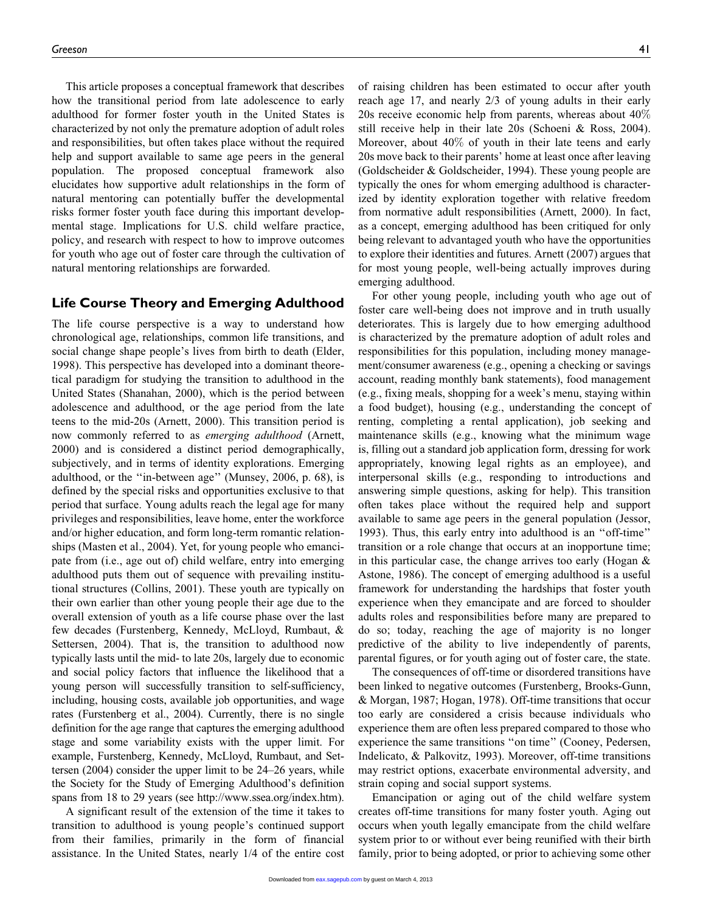This article proposes a conceptual framework that describes how the transitional period from late adolescence to early adulthood for former foster youth in the United States is characterized by not only the premature adoption of adult roles and responsibilities, but often takes place without the required help and support available to same age peers in the general population. The proposed conceptual framework also elucidates how supportive adult relationships in the form of natural mentoring can potentially buffer the developmental risks former foster youth face during this important developmental stage. Implications for U.S. child welfare practice, policy, and research with respect to how to improve outcomes for youth who age out of foster care through the cultivation of natural mentoring relationships are forwarded.

## Life Course Theory and Emerging Adulthood

The life course perspective is a way to understand how chronological age, relationships, common life transitions, and social change shape people's lives from birth to death (Elder, 1998). This perspective has developed into a dominant theoretical paradigm for studying the transition to adulthood in the United States (Shanahan, 2000), which is the period between adolescence and adulthood, or the age period from the late teens to the mid-20s (Arnett, 2000). This transition period is now commonly referred to as emerging adulthood (Arnett, 2000) and is considered a distinct period demographically, subjectively, and in terms of identity explorations. Emerging adulthood, or the ''in-between age'' (Munsey, 2006, p. 68), is defined by the special risks and opportunities exclusive to that period that surface. Young adults reach the legal age for many privileges and responsibilities, leave home, enter the workforce and/or higher education, and form long-term romantic relationships (Masten et al., 2004). Yet, for young people who emancipate from (i.e., age out of) child welfare, entry into emerging adulthood puts them out of sequence with prevailing institutional structures (Collins, 2001). These youth are typically on their own earlier than other young people their age due to the overall extension of youth as a life course phase over the last few decades (Furstenberg, Kennedy, McLloyd, Rumbaut, & Settersen, 2004). That is, the transition to adulthood now typically lasts until the mid- to late 20s, largely due to economic and social policy factors that influence the likelihood that a young person will successfully transition to self-sufficiency, including, housing costs, available job opportunities, and wage rates (Furstenberg et al., 2004). Currently, there is no single definition for the age range that captures the emerging adulthood stage and some variability exists with the upper limit. For example, Furstenberg, Kennedy, McLloyd, Rumbaut, and Settersen (2004) consider the upper limit to be 24–26 years, while the Society for the Study of Emerging Adulthood's definition spans from 18 to 29 years (see http://www.ssea.org/index.htm).

A significant result of the extension of the time it takes to transition to adulthood is young people's continued support from their families, primarily in the form of financial assistance. In the United States, nearly 1/4 of the entire cost

of raising children has been estimated to occur after youth reach age 17, and nearly 2/3 of young adults in their early 20s receive economic help from parents, whereas about 40% still receive help in their late 20s (Schoeni & Ross, 2004). Moreover, about 40% of youth in their late teens and early 20s move back to their parents' home at least once after leaving (Goldscheider & Goldscheider, 1994). These young people are typically the ones for whom emerging adulthood is characterized by identity exploration together with relative freedom from normative adult responsibilities (Arnett, 2000). In fact, as a concept, emerging adulthood has been critiqued for only being relevant to advantaged youth who have the opportunities to explore their identities and futures. Arnett (2007) argues that for most young people, well-being actually improves during emerging adulthood.

For other young people, including youth who age out of foster care well-being does not improve and in truth usually deteriorates. This is largely due to how emerging adulthood is characterized by the premature adoption of adult roles and responsibilities for this population, including money management/consumer awareness (e.g., opening a checking or savings account, reading monthly bank statements), food management (e.g., fixing meals, shopping for a week's menu, staying within a food budget), housing (e.g., understanding the concept of renting, completing a rental application), job seeking and maintenance skills (e.g., knowing what the minimum wage is, filling out a standard job application form, dressing for work appropriately, knowing legal rights as an employee), and interpersonal skills (e.g., responding to introductions and answering simple questions, asking for help). This transition often takes place without the required help and support available to same age peers in the general population (Jessor, 1993). Thus, this early entry into adulthood is an ''off-time'' transition or a role change that occurs at an inopportune time; in this particular case, the change arrives too early (Hogan & Astone, 1986). The concept of emerging adulthood is a useful framework for understanding the hardships that foster youth experience when they emancipate and are forced to shoulder adults roles and responsibilities before many are prepared to do so; today, reaching the age of majority is no longer predictive of the ability to live independently of parents, parental figures, or for youth aging out of foster care, the state.

The consequences of off-time or disordered transitions have been linked to negative outcomes (Furstenberg, Brooks-Gunn, & Morgan, 1987; Hogan, 1978). Off-time transitions that occur too early are considered a crisis because individuals who experience them are often less prepared compared to those who experience the same transitions ''on time'' (Cooney, Pedersen, Indelicato, & Palkovitz, 1993). Moreover, off-time transitions may restrict options, exacerbate environmental adversity, and strain coping and social support systems.

Emancipation or aging out of the child welfare system creates off-time transitions for many foster youth. Aging out occurs when youth legally emancipate from the child welfare system prior to or without ever being reunified with their birth family, prior to being adopted, or prior to achieving some other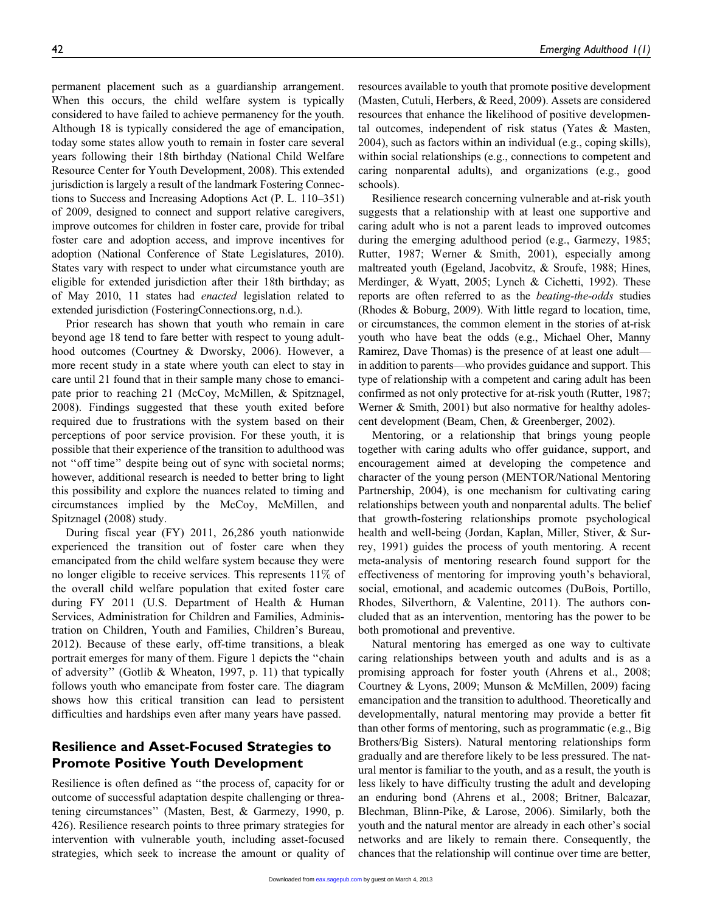permanent placement such as a guardianship arrangement. When this occurs, the child welfare system is typically considered to have failed to achieve permanency for the youth. Although 18 is typically considered the age of emancipation, today some states allow youth to remain in foster care several years following their 18th birthday (National Child Welfare Resource Center for Youth Development, 2008). This extended jurisdiction is largely a result of the landmark Fostering Connections to Success and Increasing Adoptions Act (P. L. 110–351) of 2009, designed to connect and support relative caregivers, improve outcomes for children in foster care, provide for tribal foster care and adoption access, and improve incentives for adoption (National Conference of State Legislatures, 2010). States vary with respect to under what circumstance youth are eligible for extended jurisdiction after their 18th birthday; as of May 2010, 11 states had enacted legislation related to extended jurisdiction (FosteringConnections.org, n.d.).

Prior research has shown that youth who remain in care beyond age 18 tend to fare better with respect to young adulthood outcomes (Courtney & Dworsky, 2006). However, a more recent study in a state where youth can elect to stay in care until 21 found that in their sample many chose to emancipate prior to reaching 21 (McCoy, McMillen, & Spitznagel, 2008). Findings suggested that these youth exited before required due to frustrations with the system based on their perceptions of poor service provision. For these youth, it is possible that their experience of the transition to adulthood was not "off time" despite being out of sync with societal norms; however, additional research is needed to better bring to light this possibility and explore the nuances related to timing and circumstances implied by the McCoy, McMillen, and Spitznagel (2008) study.

During fiscal year (FY) 2011, 26,286 youth nationwide experienced the transition out of foster care when they emancipated from the child welfare system because they were no longer eligible to receive services. This represents  $11\%$  of the overall child welfare population that exited foster care during FY 2011 (U.S. Department of Health & Human Services, Administration for Children and Families, Administration on Children, Youth and Families, Children's Bureau, 2012). Because of these early, off-time transitions, a bleak portrait emerges for many of them. Figure 1 depicts the ''chain of adversity'' (Gotlib & Wheaton, 1997, p. 11) that typically follows youth who emancipate from foster care. The diagram shows how this critical transition can lead to persistent difficulties and hardships even after many years have passed.

# Resilience and Asset-Focused Strategies to Promote Positive Youth Development

Resilience is often defined as ''the process of, capacity for or outcome of successful adaptation despite challenging or threatening circumstances'' (Masten, Best, & Garmezy, 1990, p. 426). Resilience research points to three primary strategies for intervention with vulnerable youth, including asset-focused strategies, which seek to increase the amount or quality of resources available to youth that promote positive development (Masten, Cutuli, Herbers, & Reed, 2009). Assets are considered resources that enhance the likelihood of positive developmental outcomes, independent of risk status (Yates & Masten, 2004), such as factors within an individual (e.g., coping skills), within social relationships (e.g., connections to competent and caring nonparental adults), and organizations (e.g., good schools).

Resilience research concerning vulnerable and at-risk youth suggests that a relationship with at least one supportive and caring adult who is not a parent leads to improved outcomes during the emerging adulthood period (e.g., Garmezy, 1985; Rutter, 1987; Werner & Smith, 2001), especially among maltreated youth (Egeland, Jacobvitz, & Sroufe, 1988; Hines, Merdinger, & Wyatt, 2005; Lynch & Cichetti, 1992). These reports are often referred to as the *beating-the-odds* studies (Rhodes & Boburg, 2009). With little regard to location, time, or circumstances, the common element in the stories of at-risk youth who have beat the odds (e.g., Michael Oher, Manny Ramirez, Dave Thomas) is the presence of at least one adult in addition to parents—who provides guidance and support. This type of relationship with a competent and caring adult has been confirmed as not only protective for at-risk youth (Rutter, 1987; Werner & Smith, 2001) but also normative for healthy adolescent development (Beam, Chen, & Greenberger, 2002).

Mentoring, or a relationship that brings young people together with caring adults who offer guidance, support, and encouragement aimed at developing the competence and character of the young person (MENTOR/National Mentoring Partnership, 2004), is one mechanism for cultivating caring relationships between youth and nonparental adults. The belief that growth-fostering relationships promote psychological health and well-being (Jordan, Kaplan, Miller, Stiver, & Surrey, 1991) guides the process of youth mentoring. A recent meta-analysis of mentoring research found support for the effectiveness of mentoring for improving youth's behavioral, social, emotional, and academic outcomes (DuBois, Portillo, Rhodes, Silverthorn, & Valentine, 2011). The authors concluded that as an intervention, mentoring has the power to be both promotional and preventive.

Natural mentoring has emerged as one way to cultivate caring relationships between youth and adults and is as a promising approach for foster youth (Ahrens et al., 2008; Courtney & Lyons, 2009; Munson & McMillen, 2009) facing emancipation and the transition to adulthood. Theoretically and developmentally, natural mentoring may provide a better fit than other forms of mentoring, such as programmatic (e.g., Big Brothers/Big Sisters). Natural mentoring relationships form gradually and are therefore likely to be less pressured. The natural mentor is familiar to the youth, and as a result, the youth is less likely to have difficulty trusting the adult and developing an enduring bond (Ahrens et al., 2008; Britner, Balcazar, Blechman, Blinn-Pike, & Larose, 2006). Similarly, both the youth and the natural mentor are already in each other's social networks and are likely to remain there. Consequently, the chances that the relationship will continue over time are better,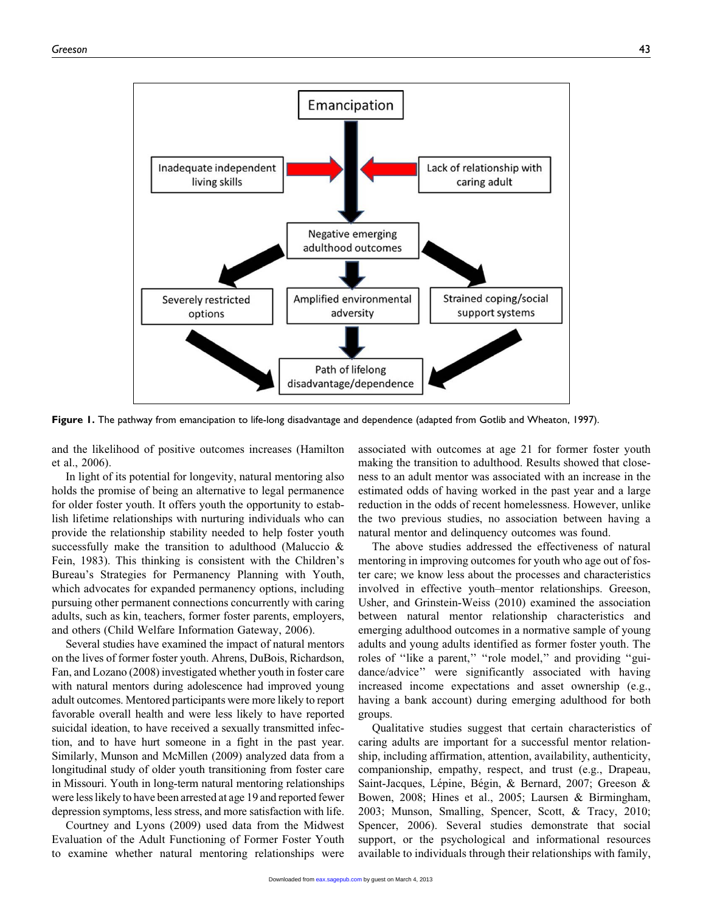

Figure 1. The pathway from emancipation to life-long disadvantage and dependence (adapted from Gotlib and Wheaton, 1997).

and the likelihood of positive outcomes increases (Hamilton et al., 2006).

In light of its potential for longevity, natural mentoring also holds the promise of being an alternative to legal permanence for older foster youth. It offers youth the opportunity to establish lifetime relationships with nurturing individuals who can provide the relationship stability needed to help foster youth successfully make the transition to adulthood (Maluccio & Fein, 1983). This thinking is consistent with the Children's Bureau's Strategies for Permanency Planning with Youth, which advocates for expanded permanency options, including pursuing other permanent connections concurrently with caring adults, such as kin, teachers, former foster parents, employers, and others (Child Welfare Information Gateway, 2006).

Several studies have examined the impact of natural mentors on the lives of former foster youth. Ahrens, DuBois, Richardson, Fan, and Lozano (2008) investigated whether youth in foster care with natural mentors during adolescence had improved young adult outcomes. Mentored participants were more likely to report favorable overall health and were less likely to have reported suicidal ideation, to have received a sexually transmitted infection, and to have hurt someone in a fight in the past year. Similarly, Munson and McMillen (2009) analyzed data from a longitudinal study of older youth transitioning from foster care in Missouri. Youth in long-term natural mentoring relationships were less likely to have been arrested at age 19 and reported fewer depression symptoms, less stress, and more satisfaction with life.

Courtney and Lyons (2009) used data from the Midwest Evaluation of the Adult Functioning of Former Foster Youth to examine whether natural mentoring relationships were

associated with outcomes at age 21 for former foster youth making the transition to adulthood. Results showed that closeness to an adult mentor was associated with an increase in the estimated odds of having worked in the past year and a large reduction in the odds of recent homelessness. However, unlike the two previous studies, no association between having a natural mentor and delinquency outcomes was found.

The above studies addressed the effectiveness of natural mentoring in improving outcomes for youth who age out of foster care; we know less about the processes and characteristics involved in effective youth–mentor relationships. Greeson, Usher, and Grinstein-Weiss (2010) examined the association between natural mentor relationship characteristics and emerging adulthood outcomes in a normative sample of young adults and young adults identified as former foster youth. The roles of "like a parent," "role model," and providing "guidance/advice'' were significantly associated with having increased income expectations and asset ownership (e.g., having a bank account) during emerging adulthood for both groups.

Qualitative studies suggest that certain characteristics of caring adults are important for a successful mentor relationship, including affirmation, attention, availability, authenticity, companionship, empathy, respect, and trust (e.g., Drapeau, Saint-Jacques, Lépine, Bégin, & Bernard, 2007; Greeson & Bowen, 2008; Hines et al., 2005; Laursen & Birmingham, 2003; Munson, Smalling, Spencer, Scott, & Tracy, 2010; Spencer, 2006). Several studies demonstrate that social support, or the psychological and informational resources available to individuals through their relationships with family,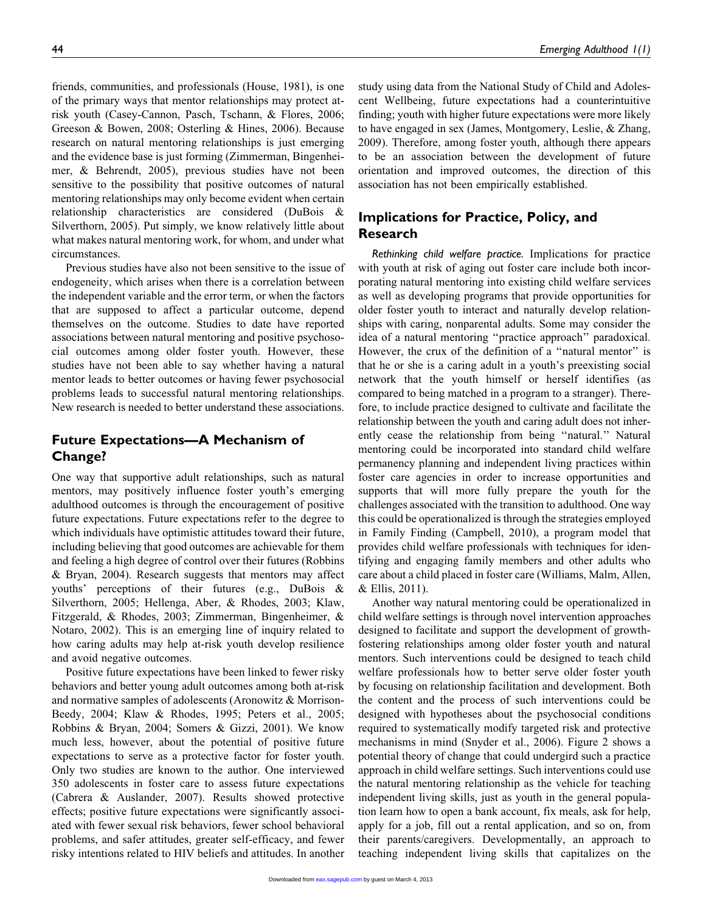friends, communities, and professionals (House, 1981), is one of the primary ways that mentor relationships may protect atrisk youth (Casey-Cannon, Pasch, Tschann, & Flores, 2006; Greeson & Bowen, 2008; Osterling & Hines, 2006). Because research on natural mentoring relationships is just emerging and the evidence base is just forming (Zimmerman, Bingenheimer, & Behrendt, 2005), previous studies have not been

sensitive to the possibility that positive outcomes of natural mentoring relationships may only become evident when certain relationship characteristics are considered (DuBois & Silverthorn, 2005). Put simply, we know relatively little about what makes natural mentoring work, for whom, and under what circumstances.

Previous studies have also not been sensitive to the issue of endogeneity, which arises when there is a correlation between the independent variable and the error term, or when the factors that are supposed to affect a particular outcome, depend themselves on the outcome. Studies to date have reported associations between natural mentoring and positive psychosocial outcomes among older foster youth. However, these studies have not been able to say whether having a natural mentor leads to better outcomes or having fewer psychosocial problems leads to successful natural mentoring relationships. New research is needed to better understand these associations.

# Future Expectations—A Mechanism of Change?

One way that supportive adult relationships, such as natural mentors, may positively influence foster youth's emerging adulthood outcomes is through the encouragement of positive future expectations. Future expectations refer to the degree to which individuals have optimistic attitudes toward their future, including believing that good outcomes are achievable for them and feeling a high degree of control over their futures (Robbins & Bryan, 2004). Research suggests that mentors may affect youths' perceptions of their futures (e.g., DuBois & Silverthorn, 2005; Hellenga, Aber, & Rhodes, 2003; Klaw, Fitzgerald, & Rhodes, 2003; Zimmerman, Bingenheimer, & Notaro, 2002). This is an emerging line of inquiry related to how caring adults may help at-risk youth develop resilience and avoid negative outcomes.

Positive future expectations have been linked to fewer risky behaviors and better young adult outcomes among both at-risk and normative samples of adolescents (Aronowitz & Morrison-Beedy, 2004; Klaw & Rhodes, 1995; Peters et al., 2005; Robbins & Bryan, 2004; Somers & Gizzi, 2001). We know much less, however, about the potential of positive future expectations to serve as a protective factor for foster youth. Only two studies are known to the author. One interviewed 350 adolescents in foster care to assess future expectations (Cabrera & Auslander, 2007). Results showed protective effects; positive future expectations were significantly associated with fewer sexual risk behaviors, fewer school behavioral problems, and safer attitudes, greater self-efficacy, and fewer risky intentions related to HIV beliefs and attitudes. In another

study using data from the National Study of Child and Adolescent Wellbeing, future expectations had a counterintuitive finding; youth with higher future expectations were more likely to have engaged in sex (James, Montgomery, Leslie, & Zhang, 2009). Therefore, among foster youth, although there appears to be an association between the development of future orientation and improved outcomes, the direction of this association has not been empirically established.

# Implications for Practice, Policy, and Research

Rethinking child welfare practice. Implications for practice with youth at risk of aging out foster care include both incorporating natural mentoring into existing child welfare services as well as developing programs that provide opportunities for older foster youth to interact and naturally develop relationships with caring, nonparental adults. Some may consider the idea of a natural mentoring ''practice approach'' paradoxical. However, the crux of the definition of a "natural mentor" is that he or she is a caring adult in a youth's preexisting social network that the youth himself or herself identifies (as compared to being matched in a program to a stranger). Therefore, to include practice designed to cultivate and facilitate the relationship between the youth and caring adult does not inherently cease the relationship from being ''natural.'' Natural mentoring could be incorporated into standard child welfare permanency planning and independent living practices within foster care agencies in order to increase opportunities and supports that will more fully prepare the youth for the challenges associated with the transition to adulthood. One way this could be operationalized is through the strategies employed in Family Finding (Campbell, 2010), a program model that provides child welfare professionals with techniques for identifying and engaging family members and other adults who care about a child placed in foster care (Williams, Malm, Allen, & Ellis, 2011).

Another way natural mentoring could be operationalized in child welfare settings is through novel intervention approaches designed to facilitate and support the development of growthfostering relationships among older foster youth and natural mentors. Such interventions could be designed to teach child welfare professionals how to better serve older foster youth by focusing on relationship facilitation and development. Both the content and the process of such interventions could be designed with hypotheses about the psychosocial conditions required to systematically modify targeted risk and protective mechanisms in mind (Snyder et al., 2006). Figure 2 shows a potential theory of change that could undergird such a practice approach in child welfare settings. Such interventions could use the natural mentoring relationship as the vehicle for teaching independent living skills, just as youth in the general population learn how to open a bank account, fix meals, ask for help, apply for a job, fill out a rental application, and so on, from their parents/caregivers. Developmentally, an approach to teaching independent living skills that capitalizes on the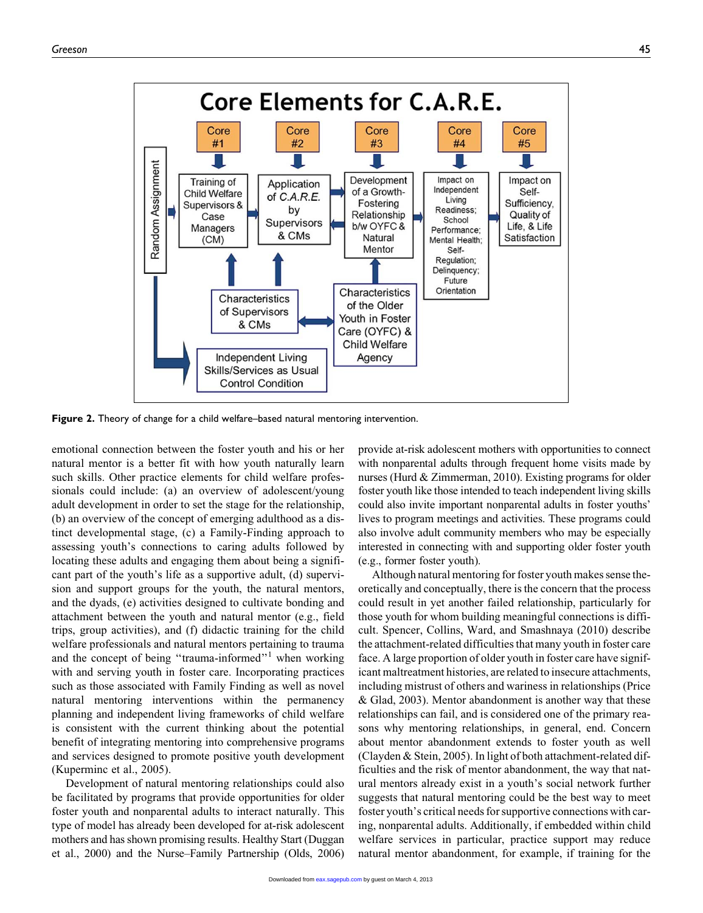

Figure 2. Theory of change for a child welfare–based natural mentoring intervention.

emotional connection between the foster youth and his or her natural mentor is a better fit with how youth naturally learn such skills. Other practice elements for child welfare professionals could include: (a) an overview of adolescent/young adult development in order to set the stage for the relationship, (b) an overview of the concept of emerging adulthood as a distinct developmental stage, (c) a Family-Finding approach to assessing youth's connections to caring adults followed by locating these adults and engaging them about being a significant part of the youth's life as a supportive adult, (d) supervision and support groups for the youth, the natural mentors, and the dyads, (e) activities designed to cultivate bonding and attachment between the youth and natural mentor (e.g., field trips, group activities), and (f) didactic training for the child welfare professionals and natural mentors pertaining to trauma and the concept of being "trauma-informed"<sup>1</sup> when working with and serving youth in foster care. Incorporating practices such as those associated with Family Finding as well as novel natural mentoring interventions within the permanency planning and independent living frameworks of child welfare is consistent with the current thinking about the potential benefit of integrating mentoring into comprehensive programs and services designed to promote positive youth development (Kuperminc et al., 2005).

Development of natural mentoring relationships could also be facilitated by programs that provide opportunities for older foster youth and nonparental adults to interact naturally. This type of model has already been developed for at-risk adolescent mothers and has shown promising results. Healthy Start (Duggan et al., 2000) and the Nurse–Family Partnership (Olds, 2006)

provide at-risk adolescent mothers with opportunities to connect with nonparental adults through frequent home visits made by nurses (Hurd & Zimmerman, 2010). Existing programs for older foster youth like those intended to teach independent living skills could also invite important nonparental adults in foster youths' lives to program meetings and activities. These programs could also involve adult community members who may be especially interested in connecting with and supporting older foster youth (e.g., former foster youth).

Although natural mentoring for foster youth makes sense theoretically and conceptually, there is the concern that the process could result in yet another failed relationship, particularly for those youth for whom building meaningful connections is difficult. Spencer, Collins, Ward, and Smashnaya (2010) describe the attachment-related difficulties that many youth in foster care face. A large proportion of older youth in foster care have significant maltreatment histories, are related to insecure attachments, including mistrust of others and wariness in relationships (Price & Glad, 2003). Mentor abandonment is another way that these relationships can fail, and is considered one of the primary reasons why mentoring relationships, in general, end. Concern about mentor abandonment extends to foster youth as well (Clayden & Stein, 2005). In light of both attachment-related difficulties and the risk of mentor abandonment, the way that natural mentors already exist in a youth's social network further suggests that natural mentoring could be the best way to meet foster youth's critical needs for supportive connections with caring, nonparental adults. Additionally, if embedded within child welfare services in particular, practice support may reduce natural mentor abandonment, for example, if training for the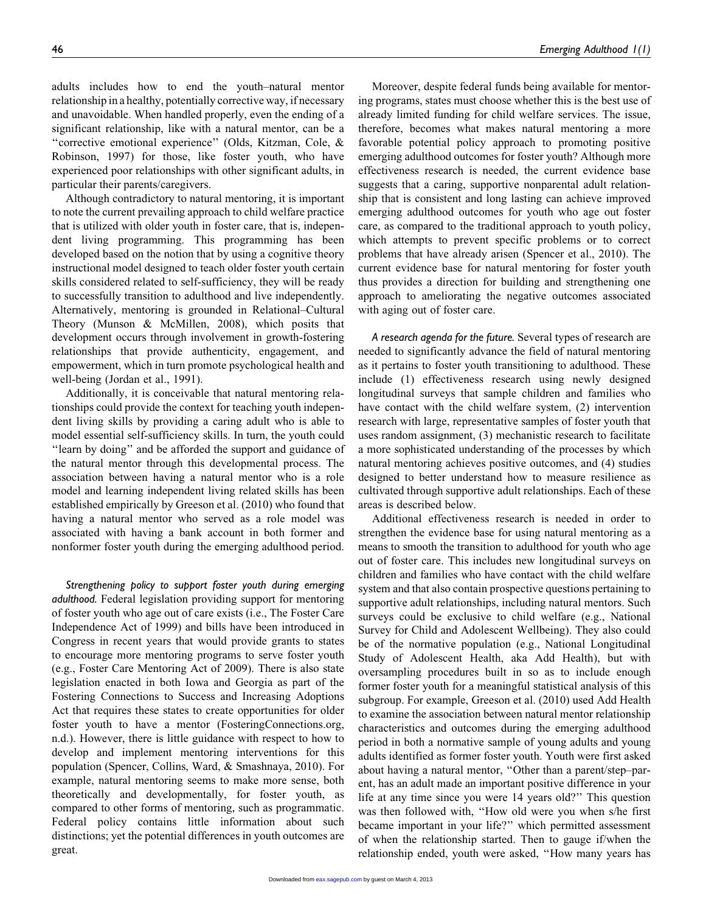adults includes how to end the youth–natural mentor relationship in a healthy, potentially corrective way, if necessary and unavoidable. When handled properly, even the ending of a significant relationship, like with a natural mentor, can be a ''corrective emotional experience'' (Olds, Kitzman, Cole, & Robinson, 1997) for those, like foster youth, who have experienced poor relationships with other significant adults, in particular their parents/caregivers.

Although contradictory to natural mentoring, it is important to note the current prevailing approach to child welfare practice that is utilized with older youth in foster care, that is, independent living programming. This programming has been developed based on the notion that by using a cognitive theory instructional model designed to teach older foster youth certain skills considered related to self-sufficiency, they will be ready to successfully transition to adulthood and live independently. Alternatively, mentoring is grounded in Relational–Cultural Theory (Munson & McMillen, 2008), which posits that development occurs through involvement in growth-fostering relationships that provide authenticity, engagement, and empowerment, which in turn promote psychological health and well-being (Jordan et al., 1991).

Additionally, it is conceivable that natural mentoring relationships could provide the context for teaching youth independent living skills by providing a caring adult who is able to model essential self-sufficiency skills. In turn, the youth could "learn by doing" and be afforded the support and guidance of the natural mentor through this developmental process. The association between having a natural mentor who is a role model and learning independent living related skills has been established empirically by Greeson et al. (2010) who found that having a natural mentor who served as a role model was associated with having a bank account in both former and nonformer foster youth during the emerging adulthood period.

Strengthening policy to support foster youth during emerging adulthood. Federal legislation providing support for mentoring of foster youth who age out of care exists (i.e., The Foster Care Independence Act of 1999) and bills have been introduced in Congress in recent years that would provide grants to states to encourage more mentoring programs to serve foster youth (e.g., Foster Care Mentoring Act of 2009). There is also state legislation enacted in both Iowa and Georgia as part of the Fostering Connections to Success and Increasing Adoptions Act that requires these states to create opportunities for older foster youth to have a mentor (FosteringConnections.org, n.d.). However, there is little guidance with respect to how to develop and implement mentoring interventions for this population (Spencer, Collins, Ward, & Smashnaya, 2010). For example, natural mentoring seems to make more sense, both theoretically and developmentally, for foster youth, as compared to other forms of mentoring, such as programmatic. Federal policy contains little information about such distinctions; yet the potential differences in youth outcomes are great.

Moreover, despite federal funds being available for mentoring programs, states must choose whether this is the best use of already limited funding for child welfare services. The issue, therefore, becomes what makes natural mentoring a more favorable potential policy approach to promoting positive emerging adulthood outcomes for foster youth? Although more effectiveness research is needed, the current evidence base suggests that a caring, supportive nonparental adult relationship that is consistent and long lasting can achieve improved emerging adulthood outcomes for youth who age out foster care, as compared to the traditional approach to youth policy, which attempts to prevent specific problems or to correct problems that have already arisen (Spencer et al., 2010). The current evidence base for natural mentoring for foster youth thus provides a direction for building and strengthening one approach to ameliorating the negative outcomes associated with aging out of foster care.

A research agenda for the future. Several types of research are needed to significantly advance the field of natural mentoring as it pertains to foster youth transitioning to adulthood. These include (1) effectiveness research using newly designed longitudinal surveys that sample children and families who have contact with the child welfare system, (2) intervention research with large, representative samples of foster youth that uses random assignment, (3) mechanistic research to facilitate a more sophisticated understanding of the processes by which natural mentoring achieves positive outcomes, and (4) studies designed to better understand how to measure resilience as cultivated through supportive adult relationships. Each of these areas is described below.

Additional effectiveness research is needed in order to strengthen the evidence base for using natural mentoring as a means to smooth the transition to adulthood for youth who age out of foster care. This includes new longitudinal surveys on children and families who have contact with the child welfare system and that also contain prospective questions pertaining to supportive adult relationships, including natural mentors. Such surveys could be exclusive to child welfare (e.g., National Survey for Child and Adolescent Wellbeing). They also could be of the normative population (e.g., National Longitudinal Study of Adolescent Health, aka Add Health), but with oversampling procedures built in so as to include enough former foster youth for a meaningful statistical analysis of this subgroup. For example, Greeson et al. (2010) used Add Health to examine the association between natural mentor relationship characteristics and outcomes during the emerging adulthood period in both a normative sample of young adults and young adults identified as former foster youth. Youth were first asked about having a natural mentor, ''Other than a parent/step–parent, has an adult made an important positive difference in your life at any time since you were 14 years old?'' This question was then followed with, ''How old were you when s/he first became important in your life?'' which permitted assessment of when the relationship started. Then to gauge if/when the relationship ended, youth were asked, ''How many years has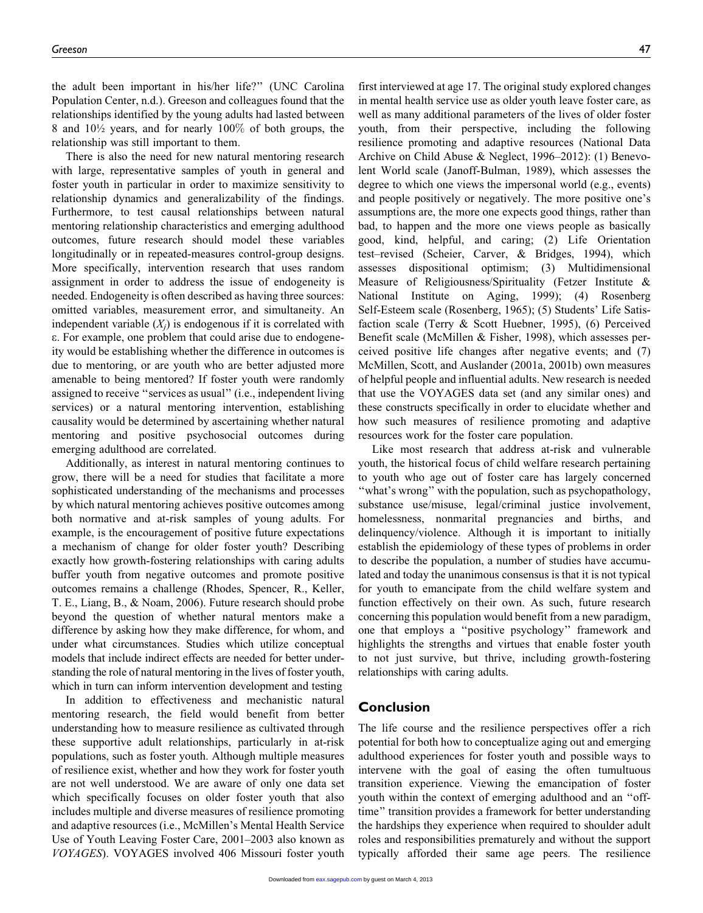the adult been important in his/her life?'' (UNC Carolina Population Center, n.d.). Greeson and colleagues found that the relationships identified by the young adults had lasted between 8 and 10½ years, and for nearly 100% of both groups, the relationship was still important to them.

There is also the need for new natural mentoring research with large, representative samples of youth in general and foster youth in particular in order to maximize sensitivity to relationship dynamics and generalizability of the findings. Furthermore, to test causal relationships between natural mentoring relationship characteristics and emerging adulthood outcomes, future research should model these variables longitudinally or in repeated-measures control-group designs. More specifically, intervention research that uses random assignment in order to address the issue of endogeneity is needed. Endogeneity is often described as having three sources: omitted variables, measurement error, and simultaneity. An independent variable  $(X_i)$  is endogenous if it is correlated with e. For example, one problem that could arise due to endogeneity would be establishing whether the difference in outcomes is due to mentoring, or are youth who are better adjusted more amenable to being mentored? If foster youth were randomly assigned to receive ''services as usual'' (i.e., independent living services) or a natural mentoring intervention, establishing causality would be determined by ascertaining whether natural mentoring and positive psychosocial outcomes during emerging adulthood are correlated.

Additionally, as interest in natural mentoring continues to grow, there will be a need for studies that facilitate a more sophisticated understanding of the mechanisms and processes by which natural mentoring achieves positive outcomes among both normative and at-risk samples of young adults. For example, is the encouragement of positive future expectations a mechanism of change for older foster youth? Describing exactly how growth-fostering relationships with caring adults buffer youth from negative outcomes and promote positive outcomes remains a challenge (Rhodes, Spencer, R., Keller, T. E., Liang, B., & Noam, 2006). Future research should probe beyond the question of whether natural mentors make a difference by asking how they make difference, for whom, and under what circumstances. Studies which utilize conceptual models that include indirect effects are needed for better understanding the role of natural mentoring in the lives of foster youth, which in turn can inform intervention development and testing

In addition to effectiveness and mechanistic natural mentoring research, the field would benefit from better understanding how to measure resilience as cultivated through these supportive adult relationships, particularly in at-risk populations, such as foster youth. Although multiple measures of resilience exist, whether and how they work for foster youth are not well understood. We are aware of only one data set which specifically focuses on older foster youth that also includes multiple and diverse measures of resilience promoting and adaptive resources (i.e., McMillen's Mental Health Service Use of Youth Leaving Foster Care, 2001–2003 also known as VOYAGES). VOYAGES involved 406 Missouri foster youth

first interviewed at age 17. The original study explored changes in mental health service use as older youth leave foster care, as well as many additional parameters of the lives of older foster youth, from their perspective, including the following resilience promoting and adaptive resources (National Data Archive on Child Abuse & Neglect, 1996–2012): (1) Benevolent World scale (Janoff-Bulman, 1989), which assesses the degree to which one views the impersonal world (e.g., events) and people positively or negatively. The more positive one's assumptions are, the more one expects good things, rather than bad, to happen and the more one views people as basically good, kind, helpful, and caring; (2) Life Orientation test–revised (Scheier, Carver, & Bridges, 1994), which assesses dispositional optimism; (3) Multidimensional Measure of Religiousness/Spirituality (Fetzer Institute & National Institute on Aging, 1999); (4) Rosenberg Self-Esteem scale (Rosenberg, 1965); (5) Students' Life Satisfaction scale (Terry & Scott Huebner, 1995), (6) Perceived Benefit scale (McMillen & Fisher, 1998), which assesses perceived positive life changes after negative events; and (7) McMillen, Scott, and Auslander (2001a, 2001b) own measures of helpful people and influential adults. New research is needed that use the VOYAGES data set (and any similar ones) and these constructs specifically in order to elucidate whether and how such measures of resilience promoting and adaptive resources work for the foster care population.

Like most research that address at-risk and vulnerable youth, the historical focus of child welfare research pertaining to youth who age out of foster care has largely concerned "what's wrong" with the population, such as psychopathology, substance use/misuse, legal/criminal justice involvement, homelessness, nonmarital pregnancies and births, and delinquency/violence. Although it is important to initially establish the epidemiology of these types of problems in order to describe the population, a number of studies have accumulated and today the unanimous consensus is that it is not typical for youth to emancipate from the child welfare system and function effectively on their own. As such, future research concerning this population would benefit from a new paradigm, one that employs a ''positive psychology'' framework and highlights the strengths and virtues that enable foster youth to not just survive, but thrive, including growth-fostering relationships with caring adults.

## Conclusion

The life course and the resilience perspectives offer a rich potential for both how to conceptualize aging out and emerging adulthood experiences for foster youth and possible ways to intervene with the goal of easing the often tumultuous transition experience. Viewing the emancipation of foster youth within the context of emerging adulthood and an ''offtime'' transition provides a framework for better understanding the hardships they experience when required to shoulder adult roles and responsibilities prematurely and without the support typically afforded their same age peers. The resilience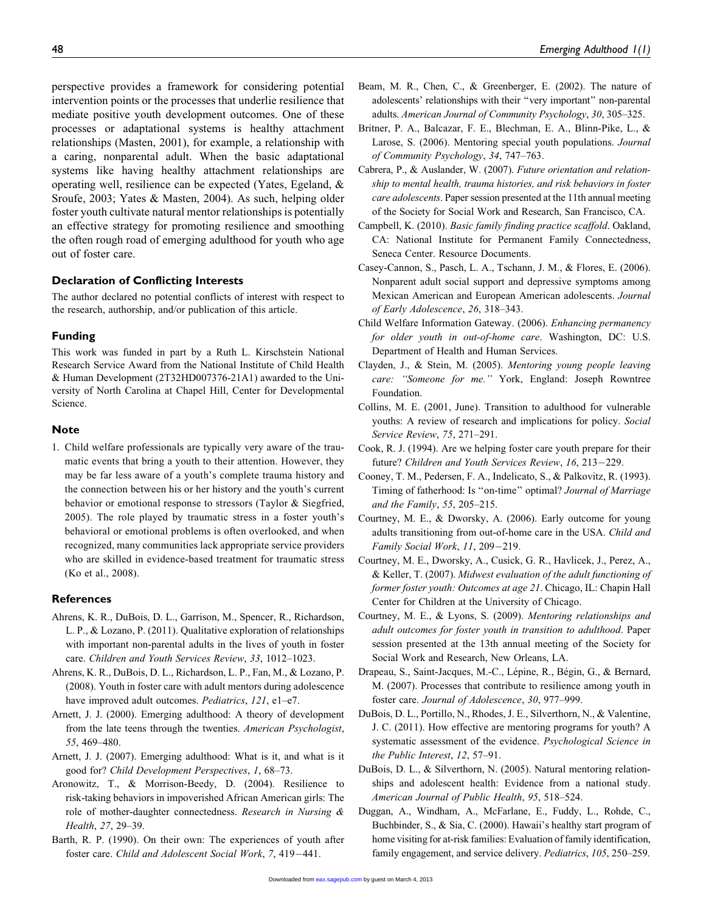perspective provides a framework for considering potential intervention points or the processes that underlie resilience that mediate positive youth development outcomes. One of these processes or adaptational systems is healthy attachment relationships (Masten, 2001), for example, a relationship with a caring, nonparental adult. When the basic adaptational systems like having healthy attachment relationships are operating well, resilience can be expected (Yates, Egeland, & Sroufe, 2003; Yates & Masten, 2004). As such, helping older foster youth cultivate natural mentor relationships is potentially an effective strategy for promoting resilience and smoothing the often rough road of emerging adulthood for youth who age out of foster care.

## Declaration of Conflicting Interests

The author declared no potential conflicts of interest with respect to the research, authorship, and/or publication of this article.

### Funding

This work was funded in part by a Ruth L. Kirschstein National Research Service Award from the National Institute of Child Health & Human Development (2T32HD007376-21A1) awarded to the University of North Carolina at Chapel Hill, Center for Developmental Science.

## Note

1. Child welfare professionals are typically very aware of the traumatic events that bring a youth to their attention. However, they may be far less aware of a youth's complete trauma history and the connection between his or her history and the youth's current behavior or emotional response to stressors (Taylor & Siegfried, 2005). The role played by traumatic stress in a foster youth's behavioral or emotional problems is often overlooked, and when recognized, many communities lack appropriate service providers who are skilled in evidence-based treatment for traumatic stress (Ko et al., 2008).

### **References**

- Ahrens, K. R., DuBois, D. L., Garrison, M., Spencer, R., Richardson, L. P., & Lozano, P. (2011). Qualitative exploration of relationships with important non-parental adults in the lives of youth in foster care. Children and Youth Services Review, 33, 1012–1023.
- Ahrens, K. R., DuBois, D. L., Richardson, L. P., Fan, M., & Lozano, P. (2008). Youth in foster care with adult mentors during adolescence have improved adult outcomes. Pediatrics, 121, e1–e7.
- Arnett, J. J. (2000). Emerging adulthood: A theory of development from the late teens through the twenties. American Psychologist, 55, 469–480.
- Arnett, J. J. (2007). Emerging adulthood: What is it, and what is it good for? Child Development Perspectives, 1, 68–73.
- Aronowitz, T., & Morrison-Beedy, D. (2004). Resilience to risk-taking behaviors in impoverished African American girls: The role of mother-daughter connectedness. Research in Nursing & Health, 27, 29–39.
- Barth, R. P. (1990). On their own: The experiences of youth after foster care. Child and Adolescent Social Work, 7, 419-441.
- Beam, M. R., Chen, C., & Greenberger, E. (2002). The nature of adolescents' relationships with their ''very important'' non-parental adults. American Journal of Community Psychology, 30, 305–325.
- Britner, P. A., Balcazar, F. E., Blechman, E. A., Blinn-Pike, L., & Larose, S. (2006). Mentoring special youth populations. Journal of Community Psychology, 34, 747–763.
- Cabrera, P., & Auslander, W. (2007). Future orientation and relationship to mental health, trauma histories, and risk behaviors in foster care adolescents. Paper session presented at the 11th annual meeting of the Society for Social Work and Research, San Francisco, CA.
- Campbell, K. (2010). Basic family finding practice scaffold. Oakland, CA: National Institute for Permanent Family Connectedness, Seneca Center. Resource Documents.
- Casey-Cannon, S., Pasch, L. A., Tschann, J. M., & Flores, E. (2006). Nonparent adult social support and depressive symptoms among Mexican American and European American adolescents. Journal of Early Adolescence, 26, 318–343.
- Child Welfare Information Gateway. (2006). Enhancing permanency for older youth in out-of-home care. Washington, DC: U.S. Department of Health and Human Services.
- Clayden, J., & Stein, M. (2005). Mentoring young people leaving care: "Someone for me." York, England: Joseph Rowntree Foundation.
- Collins, M. E. (2001, June). Transition to adulthood for vulnerable youths: A review of research and implications for policy. Social Service Review, 75, 271–291.
- Cook, R. J. (1994). Are we helping foster care youth prepare for their future? Children and Youth Services Review, 16, 213-229.
- Cooney, T. M., Pedersen, F. A., Indelicato, S., & Palkovitz, R. (1993). Timing of fatherhood: Is ''on-time'' optimal? Journal of Marriage and the Family, 55, 205–215.
- Courtney, M. E., & Dworsky, A. (2006). Early outcome for young adults transitioning from out-of-home care in the USA. Child and Family Social Work, 11, 209-219.
- Courtney, M. E., Dworsky, A., Cusick, G. R., Havlicek, J., Perez, A., & Keller, T. (2007). Midwest evaluation of the adult functioning of former foster youth: Outcomes at age 21. Chicago, IL: Chapin Hall Center for Children at the University of Chicago.
- Courtney, M. E., & Lyons, S. (2009). Mentoring relationships and adult outcomes for foster youth in transition to adulthood. Paper session presented at the 13th annual meeting of the Society for Social Work and Research, New Orleans, LA.
- Drapeau, S., Saint-Jacques, M.-C., Lépine, R., Bégin, G., & Bernard, M. (2007). Processes that contribute to resilience among youth in foster care. Journal of Adolescence, 30, 977–999.
- DuBois, D. L., Portillo, N., Rhodes, J. E., Silverthorn, N., & Valentine, J. C. (2011). How effective are mentoring programs for youth? A systematic assessment of the evidence. Psychological Science in the Public Interest, 12, 57–91.
- DuBois, D. L., & Silverthorn, N. (2005). Natural mentoring relationships and adolescent health: Evidence from a national study. American Journal of Public Health, 95, 518–524.
- Duggan, A., Windham, A., McFarlane, E., Fuddy, L., Rohde, C., Buchbinder, S., & Sia, C. (2000). Hawaii's healthy start program of home visiting for at-risk families: Evaluation of family identification, family engagement, and service delivery. Pediatrics, 105, 250–259.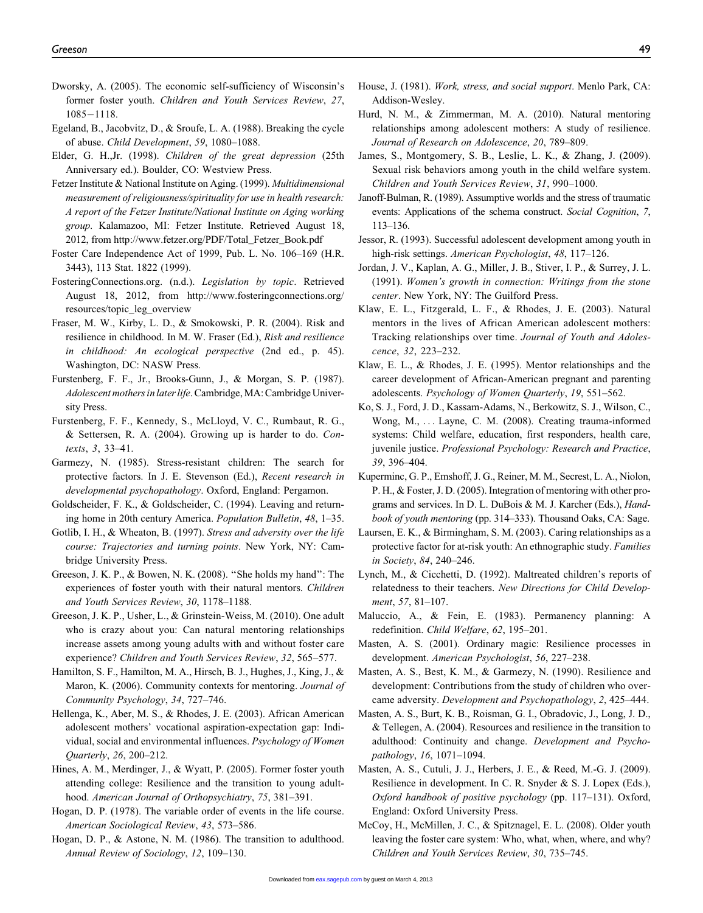- Dworsky, A. (2005). The economic self-sufficiency of Wisconsin's former foster youth. Children and Youth Services Review, 27, 1085-1118.
- Egeland, B., Jacobvitz, D., & Sroufe, L. A. (1988). Breaking the cycle of abuse. Child Development, 59, 1080–1088.
- Elder, G. H.,Jr. (1998). Children of the great depression (25th Anniversary ed.). Boulder, CO: Westview Press.

Fetzer Institute & National Institute on Aging. (1999). Multidimensional measurement of religiousness/spirituality for use in health research: A report of the Fetzer Institute/National Institute on Aging working group. Kalamazoo, MI: Fetzer Institute. Retrieved August 18, 2012, from http://www.fetzer.org/PDF/Total\_Fetzer\_Book.pdf

Foster Care Independence Act of 1999, Pub. L. No. 106–169 (H.R. 3443), 113 Stat. 1822 (1999).

FosteringConnections.org. (n.d.). Legislation by topic. Retrieved August 18, 2012, from http://www.fosteringconnections.org/ resources/topic\_leg\_overview

- Fraser, M. W., Kirby, L. D., & Smokowski, P. R. (2004). Risk and resilience in childhood. In M. W. Fraser (Ed.), Risk and resilience in childhood: An ecological perspective (2nd ed., p. 45). Washington, DC: NASW Press.
- Furstenberg, F. F., Jr., Brooks-Gunn, J., & Morgan, S. P. (1987). Adolescent mothers in later life. Cambridge, MA: Cambridge University Press.
- Furstenberg, F. F., Kennedy, S., McLloyd, V. C., Rumbaut, R. G., & Settersen, R. A. (2004). Growing up is harder to do. Contexts, 3, 33–41.

Garmezy, N. (1985). Stress-resistant children: The search for protective factors. In J. E. Stevenson (Ed.), Recent research in developmental psychopathology. Oxford, England: Pergamon.

Goldscheider, F. K., & Goldscheider, C. (1994). Leaving and returning home in 20th century America. Population Bulletin, 48, 1–35.

Gotlib, I. H., & Wheaton, B. (1997). Stress and adversity over the life course: Trajectories and turning points. New York, NY: Cambridge University Press.

Greeson, J. K. P., & Bowen, N. K. (2008). ''She holds my hand'': The experiences of foster youth with their natural mentors. Children and Youth Services Review, 30, 1178–1188.

Greeson, J. K. P., Usher, L., & Grinstein-Weiss, M. (2010). One adult who is crazy about you: Can natural mentoring relationships increase assets among young adults with and without foster care experience? Children and Youth Services Review, 32, 565–577.

Hamilton, S. F., Hamilton, M. A., Hirsch, B. J., Hughes, J., King, J., & Maron, K. (2006). Community contexts for mentoring. Journal of Community Psychology, 34, 727–746.

Hellenga, K., Aber, M. S., & Rhodes, J. E. (2003). African American adolescent mothers' vocational aspiration-expectation gap: Individual, social and environmental influences. Psychology of Women Quarterly, 26, 200–212.

Hines, A. M., Merdinger, J., & Wyatt, P. (2005). Former foster youth attending college: Resilience and the transition to young adulthood. American Journal of Orthopsychiatry, 75, 381–391.

Hogan, D. P. (1978). The variable order of events in the life course. American Sociological Review, 43, 573–586.

Hogan, D. P., & Astone, N. M. (1986). The transition to adulthood. Annual Review of Sociology, 12, 109–130.

- House, J. (1981). Work, stress, and social support. Menlo Park, CA: Addison-Wesley.
- Hurd, N. M., & Zimmerman, M. A. (2010). Natural mentoring relationships among adolescent mothers: A study of resilience. Journal of Research on Adolescence, 20, 789–809.
- James, S., Montgomery, S. B., Leslie, L. K., & Zhang, J. (2009). Sexual risk behaviors among youth in the child welfare system. Children and Youth Services Review, 31, 990–1000.
- Janoff-Bulman, R. (1989). Assumptive worlds and the stress of traumatic events: Applications of the schema construct. Social Cognition, 7, 113–136.
- Jessor, R. (1993). Successful adolescent development among youth in high-risk settings. American Psychologist, 48, 117–126.
- Jordan, J. V., Kaplan, A. G., Miller, J. B., Stiver, I. P., & Surrey, J. L. (1991). Women's growth in connection: Writings from the stone center. New York, NY: The Guilford Press.
- Klaw, E. L., Fitzgerald, L. F., & Rhodes, J. E. (2003). Natural mentors in the lives of African American adolescent mothers: Tracking relationships over time. Journal of Youth and Adolescence, 32, 223–232.

Klaw, E. L., & Rhodes, J. E. (1995). Mentor relationships and the career development of African-American pregnant and parenting adolescents. Psychology of Women Quarterly, 19, 551–562.

- Ko, S. J., Ford, J. D., Kassam-Adams, N., Berkowitz, S. J., Wilson, C., Wong, M., ... Layne, C. M. (2008). Creating trauma-informed systems: Child welfare, education, first responders, health care, juvenile justice. Professional Psychology: Research and Practice, 39, 396–404.
- Kuperminc, G. P., Emshoff, J. G., Reiner, M. M., Secrest, L. A., Niolon, P. H., & Foster, J. D. (2005). Integration of mentoring with other programs and services. In D. L. DuBois & M. J. Karcher (Eds.), Handbook of youth mentoring (pp. 314–333). Thousand Oaks, CA: Sage.
- Laursen, E. K., & Birmingham, S. M. (2003). Caring relationships as a protective factor for at-risk youth: An ethnographic study. Families in Society, 84, 240–246.
- Lynch, M., & Cicchetti, D. (1992). Maltreated children's reports of relatedness to their teachers. New Directions for Child Development, 57, 81–107.
- Maluccio, A., & Fein, E. (1983). Permanency planning: A redefinition. Child Welfare, 62, 195–201.

Masten, A. S. (2001). Ordinary magic: Resilience processes in development. American Psychologist, 56, 227–238.

- Masten, A. S., Best, K. M., & Garmezy, N. (1990). Resilience and development: Contributions from the study of children who overcame adversity. Development and Psychopathology, 2, 425–444.
- Masten, A. S., Burt, K. B., Roisman, G. I., Obradovic, J., Long, J. D., & Tellegen, A. (2004). Resources and resilience in the transition to adulthood: Continuity and change. Development and Psychopathology, 16, 1071–1094.
- Masten, A. S., Cutuli, J. J., Herbers, J. E., & Reed, M.-G. J. (2009). Resilience in development. In C. R. Snyder & S. J. Lopex (Eds.), Oxford handbook of positive psychology (pp. 117–131). Oxford, England: Oxford University Press.
- McCoy, H., McMillen, J. C., & Spitznagel, E. L. (2008). Older youth leaving the foster care system: Who, what, when, where, and why? Children and Youth Services Review, 30, 735–745.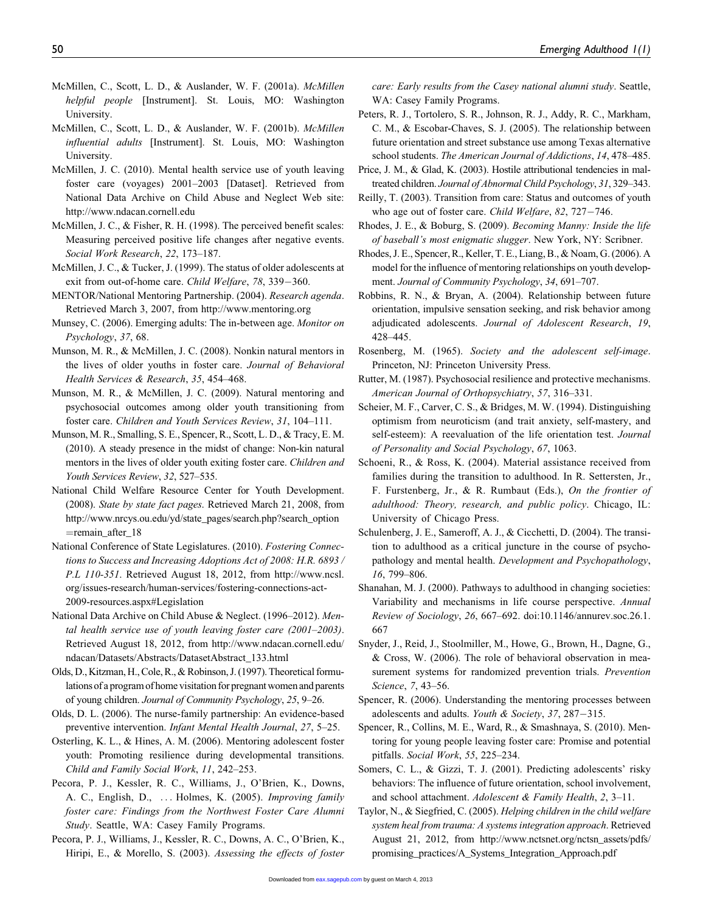- McMillen, C., Scott, L. D., & Auslander, W. F. (2001a). McMillen helpful people [Instrument]. St. Louis, MO: Washington University.
- McMillen, C., Scott, L. D., & Auslander, W. F. (2001b). McMillen influential adults [Instrument]. St. Louis, MO: Washington University.
- McMillen, J. C. (2010). Mental health service use of youth leaving foster care (voyages) 2001–2003 [Dataset]. Retrieved from National Data Archive on Child Abuse and Neglect Web site: http://www.ndacan.cornell.edu
- McMillen, J. C., & Fisher, R. H. (1998). The perceived benefit scales: Measuring perceived positive life changes after negative events. Social Work Research, 22, 173–187.
- McMillen, J. C., & Tucker, J. (1999). The status of older adolescents at exit from out-of-home care. Child Welfare, 78, 339-360.
- MENTOR/National Mentoring Partnership. (2004). Research agenda. Retrieved March 3, 2007, from http://www.mentoring.org
- Munsey, C. (2006). Emerging adults: The in-between age. Monitor on Psychology, 37, 68.
- Munson, M. R., & McMillen, J. C. (2008). Nonkin natural mentors in the lives of older youths in foster care. Journal of Behavioral Health Services & Research, 35, 454–468.
- Munson, M. R., & McMillen, J. C. (2009). Natural mentoring and psychosocial outcomes among older youth transitioning from foster care. Children and Youth Services Review, 31, 104–111.
- Munson, M. R., Smalling, S. E., Spencer, R., Scott, L. D., & Tracy, E. M. (2010). A steady presence in the midst of change: Non-kin natural mentors in the lives of older youth exiting foster care. Children and Youth Services Review, 32, 527–535.
- National Child Welfare Resource Center for Youth Development. (2008). State by state fact pages. Retrieved March 21, 2008, from http://www.nrcys.ou.edu/yd/state\_pages/search.php?search\_option  $=$ remain\_after\_18
- National Conference of State Legislatures. (2010). Fostering Connections to Success and Increasing Adoptions Act of 2008: H.R. 6893 / P.L 110-351. Retrieved August 18, 2012, from http://www.ncsl. org/issues-research/human-services/fostering-connections-act-2009-resources.aspx#Legislation
- National Data Archive on Child Abuse & Neglect. (1996–2012). Mental health service use of youth leaving foster care (2001–2003). Retrieved August 18, 2012, from http://www.ndacan.cornell.edu/ ndacan/Datasets/Abstracts/DatasetAbstract\_133.html
- Olds, D., Kitzman, H., Cole, R., & Robinson, J. (1997). Theoretical formulations of a program of home visitation for pregnant women and parents of young children. Journal of Community Psychology, 25, 9–26.
- Olds, D. L. (2006). The nurse-family partnership: An evidence-based preventive intervention. Infant Mental Health Journal, 27, 5–25.
- Osterling, K. L., & Hines, A. M. (2006). Mentoring adolescent foster youth: Promoting resilience during developmental transitions. Child and Family Social Work, 11, 242–253.
- Pecora, P. J., Kessler, R. C., Williams, J., O'Brien, K., Downs, A. C., English, D., ... Holmes, K. (2005). *Improving family* foster care: Findings from the Northwest Foster Care Alumni Study. Seattle, WA: Casey Family Programs.
- Pecora, P. J., Williams, J., Kessler, R. C., Downs, A. C., O'Brien, K., Hiripi, E., & Morello, S. (2003). Assessing the effects of foster

care: Early results from the Casey national alumni study. Seattle, WA: Casey Family Programs.

- Peters, R. J., Tortolero, S. R., Johnson, R. J., Addy, R. C., Markham, C. M., & Escobar-Chaves, S. J. (2005). The relationship between future orientation and street substance use among Texas alternative school students. The American Journal of Addictions, 14, 478–485.
- Price, J. M., & Glad, K. (2003). Hostile attributional tendencies in maltreated children. Journal of Abnormal Child Psychology, 31, 329–343.
- Reilly, T. (2003). Transition from care: Status and outcomes of youth who age out of foster care. Child Welfare, 82, 727-746.
- Rhodes, J. E., & Boburg, S. (2009). Becoming Manny: Inside the life of baseball's most enigmatic slugger. New York, NY: Scribner.

Rhodes, J. E., Spencer, R., Keller, T. E., Liang, B., & Noam, G. (2006). A model for the influence of mentoring relationships on youth development. Journal of Community Psychology, 34, 691–707.

- Robbins, R. N., & Bryan, A. (2004). Relationship between future orientation, impulsive sensation seeking, and risk behavior among adjudicated adolescents. Journal of Adolescent Research, 19, 428–445.
- Rosenberg, M. (1965). Society and the adolescent self-image. Princeton, NJ: Princeton University Press.
- Rutter, M. (1987). Psychosocial resilience and protective mechanisms. American Journal of Orthopsychiatry, 57, 316–331.
- Scheier, M. F., Carver, C. S., & Bridges, M. W. (1994). Distinguishing optimism from neuroticism (and trait anxiety, self-mastery, and self-esteem): A reevaluation of the life orientation test. Journal of Personality and Social Psychology, 67, 1063.
- Schoeni, R., & Ross, K. (2004). Material assistance received from families during the transition to adulthood. In R. Settersten, Jr., F. Furstenberg, Jr., & R. Rumbaut (Eds.), On the frontier of adulthood: Theory, research, and public policy. Chicago, IL: University of Chicago Press.
- Schulenberg, J. E., Sameroff, A. J., & Cicchetti, D. (2004). The transition to adulthood as a critical juncture in the course of psychopathology and mental health. Development and Psychopathology, 16, 799–806.
- Shanahan, M. J. (2000). Pathways to adulthood in changing societies: Variability and mechanisms in life course perspective. Annual Review of Sociology, 26, 667–692. doi:10.1146/annurev.soc.26.1. 667
- Snyder, J., Reid, J., Stoolmiller, M., Howe, G., Brown, H., Dagne, G., & Cross, W. (2006). The role of behavioral observation in measurement systems for randomized prevention trials. Prevention Science, 7, 43–56.
- Spencer, R. (2006). Understanding the mentoring processes between adolescents and adults. Youth & Society, 37, 287-315.
- Spencer, R., Collins, M. E., Ward, R., & Smashnaya, S. (2010). Mentoring for young people leaving foster care: Promise and potential pitfalls. Social Work, 55, 225–234.
- Somers, C. L., & Gizzi, T. J. (2001). Predicting adolescents' risky behaviors: The influence of future orientation, school involvement, and school attachment. Adolescent & Family Health, 2, 3–11.
- Taylor, N., & Siegfried, C. (2005). Helping children in the child welfare system heal from trauma: A systems integration approach. Retrieved August 21, 2012, from http://www.nctsnet.org/nctsn\_assets/pdfs/ promising\_practices/A\_Systems\_Integration\_Approach.pdf